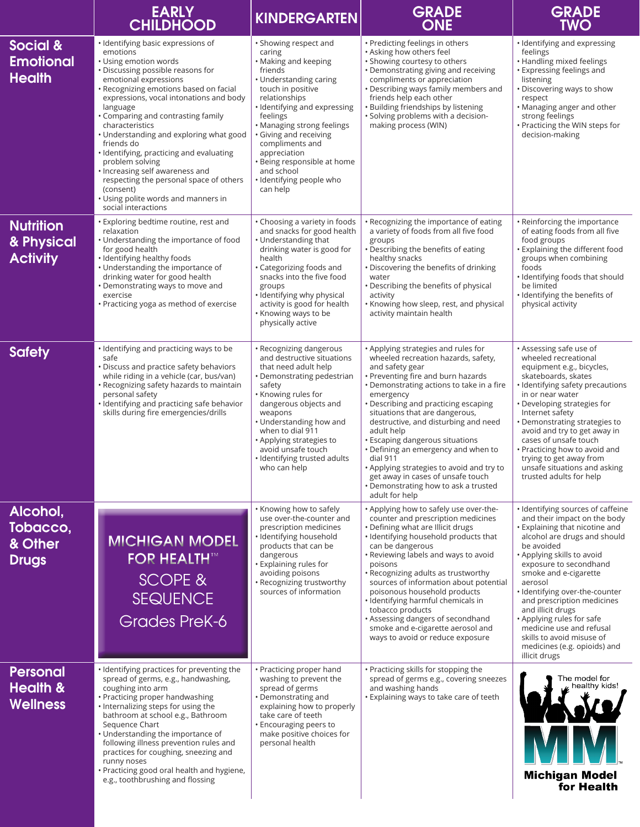|                                                           | <b>EARLY</b><br><b>CHILDHOOD</b>                                                                                                                                                                                                                                                                                                                                                                                                                                                                                                                                                 | <b>KINDERGARTEN</b>                                                                                                                                                                                                                                                                                                                                            | <b>GRADE</b><br><b>ONE</b>                                                                                                                                                                                                                                                                                                                                                                                                                                                                                                                                      | <b>GRADE</b><br><b>TWO</b>                                                                                                                                                                                                                                                                                                                                                                                                                                                |
|-----------------------------------------------------------|----------------------------------------------------------------------------------------------------------------------------------------------------------------------------------------------------------------------------------------------------------------------------------------------------------------------------------------------------------------------------------------------------------------------------------------------------------------------------------------------------------------------------------------------------------------------------------|----------------------------------------------------------------------------------------------------------------------------------------------------------------------------------------------------------------------------------------------------------------------------------------------------------------------------------------------------------------|-----------------------------------------------------------------------------------------------------------------------------------------------------------------------------------------------------------------------------------------------------------------------------------------------------------------------------------------------------------------------------------------------------------------------------------------------------------------------------------------------------------------------------------------------------------------|---------------------------------------------------------------------------------------------------------------------------------------------------------------------------------------------------------------------------------------------------------------------------------------------------------------------------------------------------------------------------------------------------------------------------------------------------------------------------|
| Social &<br><b>Emotional</b><br><b>Health</b>             | · Identifying basic expressions of<br>emotions<br>• Using emotion words<br>· Discussing possible reasons for<br>emotional expressions<br>· Recognizing emotions based on facial<br>expressions, vocal intonations and body<br>language<br>• Comparing and contrasting family<br>characteristics<br>• Understanding and exploring what good<br>friends do<br>· Identifying, practicing and evaluating<br>problem solving<br>• Increasing self awareness and<br>respecting the personal space of others<br>(consent)<br>• Using polite words and manners in<br>social interactions | • Showing respect and<br>caring<br>• Making and keeping<br>friends<br>• Understanding caring<br>touch in positive<br>relationships<br>· Identifying and expressing<br>feelings<br>• Managing strong feelings<br>• Giving and receiving<br>compliments and<br>appreciation<br>• Being responsible at home<br>and school<br>· Identifying people who<br>can help | • Predicting feelings in others<br>· Asking how others feel<br>· Showing courtesy to others<br>• Demonstrating giving and receiving<br>compliments or appreciation<br>• Describing ways family members and<br>friends help each other<br>· Building friendships by listening<br>• Solving problems with a decision-<br>making process (WIN)                                                                                                                                                                                                                     | • Identifying and expressing<br>feelings<br>• Handling mixed feelings<br>• Expressing feelings and<br>listening<br>• Discovering ways to show<br>respect<br>• Managing anger and other<br>strong feelings<br>• Practicing the WIN steps for<br>decision-making                                                                                                                                                                                                            |
| <b>Nutrition</b><br>& Physical<br><b>Activity</b>         | Exploring bedtime routine, rest and<br>relaxation<br>• Understanding the importance of food<br>for good health<br>· Identifying healthy foods<br>• Understanding the importance of<br>drinking water for good health<br>• Demonstrating ways to move and<br>exercise<br>• Practicing yoga as method of exercise                                                                                                                                                                                                                                                                  | • Choosing a variety in foods<br>and snacks for good health<br>• Understanding that<br>drinking water is good for<br>health<br>• Categorizing foods and<br>snacks into the five food<br>groups<br>• Identifying why physical<br>activity is good for health<br>• Knowing ways to be<br>physically active                                                       | • Recognizing the importance of eating<br>a variety of foods from all five food<br>groups<br>• Describing the benefits of eating<br>healthy snacks<br>• Discovering the benefits of drinking<br>water<br>• Describing the benefits of physical<br>activity<br>• Knowing how sleep, rest, and physical<br>activity maintain health                                                                                                                                                                                                                               | • Reinforcing the importance<br>of eating foods from all five<br>food groups<br>• Explaining the different food<br>groups when combining<br>foods<br>· Identifying foods that should<br>be limited<br>· Identifying the benefits of<br>physical activity                                                                                                                                                                                                                  |
| <b>Safety</b>                                             | · Identifying and practicing ways to be<br>safe<br>• Discuss and practice safety behaviors<br>while riding in a vehicle (car, bus/van)<br>• Recognizing safety hazards to maintain<br>personal safety<br>· Identifying and practicing safe behavior<br>skills during fire emergencies/drills                                                                                                                                                                                                                                                                                     | • Recognizing dangerous<br>and destructive situations<br>that need adult help<br>• Demonstrating pedestrian<br>safety<br>• Knowing rules for<br>dangerous objects and<br>weapons<br>• Understanding how and<br>when to dial 911<br>• Applying strategies to<br>avoid unsafe touch<br>· Identifying trusted adults<br>who can help                              | • Applying strategies and rules for<br>wheeled recreation hazards, safety,<br>and safety gear<br>• Preventing fire and burn hazards<br>• Demonstrating actions to take in a fire<br>emergency<br>• Describing and practicing escaping<br>situations that are dangerous,<br>destructive, and disturbing and need<br>adult help<br>• Escaping dangerous situations<br>• Defining an emergency and when to<br>dial 911<br>• Applying strategies to avoid and try to<br>get away in cases of unsafe touch<br>• Demonstrating how to ask a trusted<br>adult for help | • Assessing safe use of<br>wheeled recreational<br>equipment e.g., bicycles,<br>skateboards, skates<br>· Identifying safety precautions<br>in or near water<br>• Developing strategies for<br>Internet safety<br>• Demonstrating strategies to<br>avoid and try to get away in<br>cases of unsafe touch<br>• Practicing how to avoid and<br>trying to get away from<br>unsafe situations and asking<br>trusted adults for help                                            |
| Alcohol,<br>Tobacco,<br>& Other<br><b>Drugs</b>           | <b>MICHIGAN MODEL</b><br><b>FOR HEALTH™</b><br>SCOPE &<br><b>SEQUENCE</b><br><b>Grades PreK-6</b>                                                                                                                                                                                                                                                                                                                                                                                                                                                                                | • Knowing how to safely<br>use over-the-counter and<br>prescription medicines<br>· Identifying household<br>products that can be<br>dangerous<br>· Explaining rules for<br>avoiding poisons<br>· Recognizing trustworthy<br>sources of information                                                                                                             | • Applying how to safely use over-the-<br>counter and prescription medicines<br>• Defining what are Illicit drugs<br>· Identifying household products that<br>can be dangerous<br>• Reviewing labels and ways to avoid<br>poisons<br>• Recognizing adults as trustworthy<br>sources of information about potential<br>poisonous household products<br>· Identifying harmful chemicals in<br>tobacco products<br>• Assessing dangers of secondhand<br>smoke and e-cigarette aerosol and<br>ways to avoid or reduce exposure                                      | · Identifying sources of caffeine<br>and their impact on the body<br>. Explaining that nicotine and<br>alcohol are drugs and should<br>be avoided<br>. Applying skills to avoid<br>exposure to secondhand<br>smoke and e-cigarette<br>aerosol<br>· Identifying over-the-counter<br>and prescription medicines<br>and illicit drugs<br>• Applying rules for safe<br>medicine use and refusal<br>skills to avoid misuse of<br>medicines (e.g. opioids) and<br>illicit drugs |
| <b>Personal</b><br><b>Health &amp;</b><br><b>Wellness</b> | . Identifying practices for preventing the<br>spread of germs, e.g., handwashing,<br>coughing into arm<br>• Practicing proper handwashing<br>· Internalizing steps for using the<br>bathroom at school e.g., Bathroom<br>Sequence Chart<br>• Understanding the importance of<br>following illness prevention rules and<br>practices for coughing, sneezing and<br>runny noses<br>· Practicing good oral health and hygiene,<br>e.g., toothbrushing and flossing                                                                                                                  | • Practicing proper hand<br>washing to prevent the<br>spread of germs<br>• Demonstrating and<br>explaining how to properly<br>take care of teeth<br>· Encouraging peers to<br>make positive choices for<br>personal health                                                                                                                                     | • Practicing skills for stopping the<br>spread of germs e.g., covering sneezes<br>and washing hands<br>· Explaining ways to take care of teeth                                                                                                                                                                                                                                                                                                                                                                                                                  | The model for<br>healthy kids!<br><b>Michigan Model</b><br>for Health                                                                                                                                                                                                                                                                                                                                                                                                     |